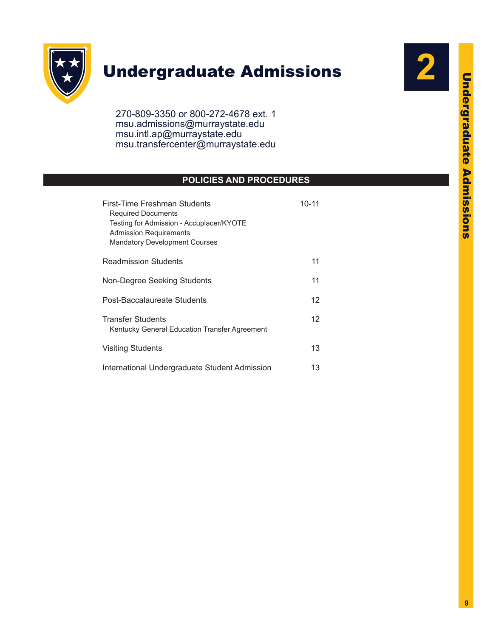

# Undergraduate Admissions



270-809-3350 or 800-272-4678 ext. 1 msu.admissions@murraystate.edu msu.intl.ap@murraystate.edu [msu.transfercenter@murraystate.edu](mailto:msu.transfercenter@murraystate.edu)

# **POLICIES AND PROCEDURES**

| First-Time Freshman Students<br><b>Required Documents</b><br>Testing for Admission - Accuplacer/KYOTE<br><b>Admission Requirements</b><br><b>Mandatory Development Courses</b> | $10 - 11$ |
|--------------------------------------------------------------------------------------------------------------------------------------------------------------------------------|-----------|
| <b>Readmission Students</b>                                                                                                                                                    | 11        |
| Non-Degree Seeking Students                                                                                                                                                    | 11        |
| Post-Baccalaureate Students                                                                                                                                                    | 12        |
| <b>Transfer Students</b><br>Kentucky General Education Transfer Agreement                                                                                                      | 12        |
| <b>Visiting Students</b>                                                                                                                                                       | 13        |
| International Undergraduate Student Admission                                                                                                                                  | 13        |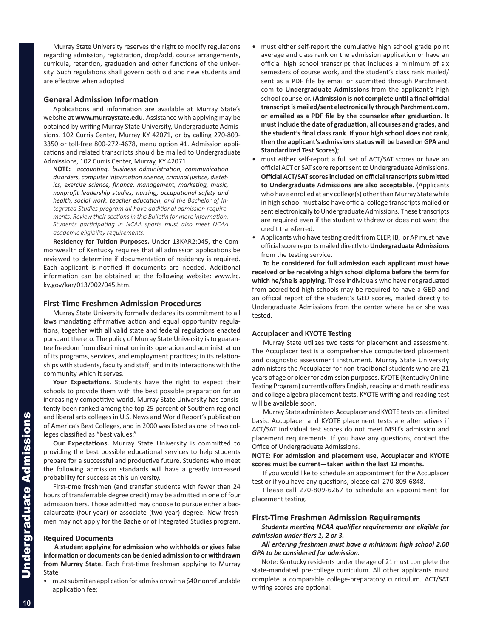<span id="page-1-0"></span>Murray State University reserves the right to modify regulations regarding admission, registration, drop/add, course arrangements, curricula, retention, graduation and other functions of the university. Such regulations shall govern both old and new students and are effective when adopted.

#### **General Admission Information**

Applications and information are available at Murray State's website at **www.murraystate.edu**. Assistance with applying may be obtained by writing Murray State University, Undergraduate Admissions, 102 Curris Center, Murray KY 42071, or by calling 270-809- 3350 or toll-free 800-272-4678, menu option #1. Admission applications and related transcripts should be mailed to Undergraduate Admissions, 102 Curris Center, Murray, KY 42071.

**NOTE:** *accounting, business administration, communication disorders, computer information science, criminal justice, dietetics, exercise science, finance, management, marketing, music, nonprofit leadership studies, nursing, occupational safety and health, social work, teacher education, and the Bachelor of Integrated Studies program all have additional admission requirements. Review their sections in this Bulletin for more information. Students participating in NCAA sports must also meet NCAA academic eligibility requirements.*

**Residency for Tuition Purposes.** Under 13KAR2:045, the Commonwealth of Kentucky requires that all admission applications be reviewed to determine if documentation of residency is required. Each applicant is notified if documents are needed. Additional information can be obtained at the following website: www.lrc. ky.gov/kar/013/002/045.htm.

#### **First-Time Freshmen Admission Procedures**

Murray State University formally declares its commitment to all laws mandating affirmative action and equal opportunity regulations, together with all valid state and federal regulations enacted pursuant thereto. The policy of Murray State University is to guarantee freedom from discrimination in its operation and administration of its programs, services, and employment practices; in its relationships with students, faculty and staff; and in its interactions with the community which it serves.

**Your Expectations.** Students have the right to expect their schools to provide them with the best possible preparation for an increasingly competitive world. Murray State University has consistently been ranked among the top 25 percent of Southern regional and liberal arts colleges in U.S. News and World Report's publication of America's Best Colleges, and in 2000 was listed as one of two colleges classified as "best values."

**Our Expectations.** Murray State University is committed to providing the best possible educational services to help students prepare for a successful and productive future. Students who meet the following admission standards will have a greatly increased probability for success at this university.

First-time freshmen (and transfer students with fewer than 24 hours of transferrable degree credit) may be admitted in one of four admission tiers. Those admitted may choose to pursue either a baccalaureate (four-year) or associate (two-year) degree. New freshmen may not apply for the Bachelor of Integrated Studies program.

#### **Required Documents**

**A student applying for admission who withholds or gives false information or documents can be denied admission to or withdrawn from Murray State.** Each first-time freshman applying to Murray State

• must submit an application for admission with a \$40 nonrefundable application fee;

- must either self-report the cumulative high school grade point average and class rank on the admission application or have an official high school transcript that includes a minimum of six semesters of course work, and the student's class rank mailed/ sent as a PDF file by email or submitted through Parchment. com to **Undergraduate Admissions** from the applicant's high school counselor. (**Admission is not complete until a final official transcript is mailed/sent electronically through Parchment.com, or emailed as a PDF file by the counselor after graduation. It must include the date of graduation, all courses and grades, and the student's final class rank**. **If your high school does not rank, then the applicant's admissions status will be based on GPA and Standardized Test Scores)**;
- must either self-report a full set of ACT/SAT scores or have an official ACT or SAT score report sent to Undergraduate Admissions. **Official ACT/SAT scores included on official transcripts submitted to Undergraduate Admissions are also acceptable.** (Applicants who have enrolled at any college(s) other than Murray State while in high school must also have official college transcripts mailed or sent electronically to Undergraduate Admissions. These transcripts are required even if the student withdrew or does not want the credit transferred.
- Applicants who have testing credit from CLEP, IB, or AP must have official score reports mailed directly to **Undergraduate Admissions** from the testing service.

**To be considered for full admission each applicant must have received or be receiving a high school diploma before the term for which he/she is applying**. Those individuals who have not graduated from accredited high schools may be required to have a GED and an official report of the student's GED scores, mailed directly to Undergraduate Admissions from the center where he or she was tested.

#### **Accuplacer and KYOTE Testing**

Murray State utilizes two tests for placement and assessment. The Accuplacer test is a comprehensive computerized placement and diagnostic assessment instrument. Murray State University administers the Accuplacer for non-traditional students who are 21 years of age or older for admission purposes. KYOTE (Kentucky Online Testing Program) currently offers English, reading and math readiness and college algebra placement tests. KYOTE writing and reading test will be available soon.

Murray State administers Accuplacer and KYOTE tests on a limited basis. Accuplacer and KYOTE placement tests are alternatives if ACT/SAT individual test scores do not meet MSU's admission and placement requirements. If you have any questions, contact the Office of Undergraduate Admissions.

**NOTE: For admission and placement use, Accuplacer and KYOTE scores must be current—taken within the last 12 months.**

If you would like to schedule an appointment for the Accuplacer test or if you have any questions, please call 270-809-6848.

Please call 270-809-6267 to schedule an appointment for placement testing.

#### **First-Time Freshmen Admission Requirements**

*Students meeting NCAA qualifier requirements are eligible for admission under tiers 1, 2 or 3.* 

## *All entering freshmen must have a minimum high school 2.00 GPA to be considered for admission.*

Note: Kentucky residents under the age of 21 must complete the state-mandated pre-college curriculum. All other applicants must complete a comparable college-preparatory curriculum. ACT/SAT writing scores are optional.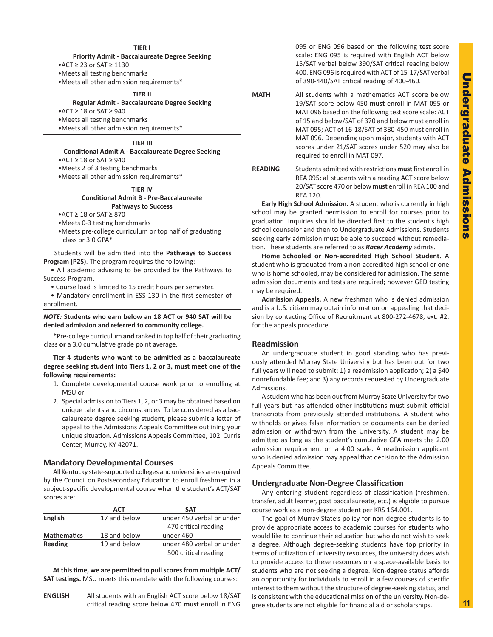#### **TIER I**

<span id="page-2-0"></span>**Priority Admit - Baccalaureate Degree Seeking** •ACT ≥ 23 or SAT ≥ 1130 •Meets all testing benchmarks

•Meets all other admission requirements\*

# **TIER II**

**Regular Admit - Baccalaureate Degree Seeking**

•ACT ≥ 18 or SAT ≥ 940

•Meets all testing benchmarks

•Meets all other admission requirements\*

# **TIER III**

**Conditional Admit A - Baccalaureate Degree Seeking**

•ACT ≥ 18 or SAT ≥ 940

•Meets 2 of 3 testing benchmarks

•Meets all other admission requirements\*

#### **TIER IV Conditional Admit B - Pre-Baccalaureate Pathways to Success**

•ACT ≥ 18 or SAT ≥ 870

•Meets 0-3 testing benchmarks

•Meets pre-college curriculum or top half of graduating class or 3.0 GPA\*

Students will be admitted into the **Pathways to Success Program (P2S)**. The program requires the following:

• All academic advising to be provided by the Pathways to Success Program.

• Course load is limited to 15 credit hours per semester.

• Mandatory enrollment in ESS 130 in the first semester of enrollment.

#### *NOTE:* **Students who earn below an 18 ACT or 940 SAT will be denied admission and referred to community college.**

 **\***Pre-college curriculum **and** ranked in top half of their graduating class **or** a 3.0 cumulative grade point average.

**Tier 4 students who want to be admitted as a baccalaureate degree seeking student into Tiers 1, 2 or 3, must meet one of the following requirements:**

- 1. Complete developmental course work prior to enrolling at MSU or
- 2. Special admission to Tiers 1, 2, or 3 may be obtained based on unique talents and circumstances. To be considered as a baccalaureate degree seeking student, please submit a letter of appeal to the Admissions Appeals Committee outlining your unique situation. Admissions Appeals Committee, 102 Curris Center, Murray, KY 42071.

#### **Mandatory Developmental Courses**

All Kentucky state-supported colleges and universities are required by the Council on Postsecondary Education to enroll freshmen in a subject-specific developmental course when the student's ACT/SAT scores are:

|                    | ACT          | <b>SAT</b>                |  |
|--------------------|--------------|---------------------------|--|
| English            | 17 and below | under 450 verbal or under |  |
|                    |              | 470 critical reading      |  |
| <b>Mathematics</b> | 18 and below | under 460                 |  |
| Reading            | 19 and below | under 480 verbal or under |  |
|                    |              | 500 critical reading      |  |

**At this time, we are permitted to pull scores from multiple ACT/ SAT testings.** MSU meets this mandate with the following courses:

**ENGLISH** All students with an English ACT score below 18/SAT critical reading score below 470 **must** enroll in ENG 095 or ENG 096 based on the following test score scale: ENG 095 is required with English ACT below 15/SAT verbal below 390/SAT critical reading below 400. ENG 096 is required with ACT of 15-17/SAT verbal of 390-440/SAT critical reading of 400-460.

- **MATH** All students with a mathematics ACT score below 19/SAT score below 450 **must** enroll in MAT 095 or MAT 096 based on the following test score scale: ACT of 15 and below/SAT of 370 and below must enroll in MAT 095; ACT of 16-18/SAT of 380-450 must enroll in MAT 096. Depending upon major, students with ACT scores under 21/SAT scores under 520 may also be required to enroll in MAT 097.
- **READING** Students admitted with restrictions **must** first enroll in REA 095; all students with a reading ACT score below 20/SAT score 470 or below **must** enroll in REA 100 and REA 120.

**Early High School Admission.** A student who is currently in high school may be granted permission to enroll for courses prior to graduation. Inquiries should be directed first to the student's high school counselor and then to Undergraduate Admissions. Students seeking early admission must be able to succeed without remediation. These students are referred to as *Racer Academy* admits.

**Home Schooled or Non-accredited High School Student.** A student who is graduated from a non-accredited high school or one who is home schooled, may be considered for admission. The same admission documents and tests are required; however GED testing may be required.

**Admission Appeals.** A new freshman who is denied admission and is a U.S. citizen may obtain information on appealing that decision by contacting Office of Recruitment at 800-272-4678, ext. #2, for the appeals procedure.

#### **Readmission**

An undergraduate student in good standing who has previously attended Murray State University but has been out for two full years will need to submit: 1) a readmission application; 2) a \$40 nonrefundable fee; and 3) any records requested by Undergraduate Admissions.

A student who has been out from Murray State University for two full years but has attended other institutions must submit official transcripts from previously attended institutions. A student who withholds or gives false information or documents can be denied admission or withdrawn from the University. A student may be admitted as long as the student's cumulative GPA meets the 2.00 admission requirement on a 4.00 scale. A readmission applicant who is denied admission may appeal that decision to the Admission Appeals Committee.

#### **Undergraduate Non-Degree Classification**

Any entering student regardless of classification (freshmen, transfer, adult learner, post baccalaureate, etc.) is eligible to pursue course work as a non-degree student per KRS 164.001.

The goal of Murray State's policy for non-degree students is to provide appropriate access to academic courses for students who would like to continue their education but who do not wish to seek a degree. Although degree-seeking students have top priority in terms of utilization of university resources, the university does wish to provide access to these resources on a space-available basis to students who are not seeking a degree. Non-degree status affords an opportunity for individuals to enroll in a few courses of specific interest to them without the structure of degree-seeking status, and is consistent with the educational mission of the university. Non-degree students are not eligible for financial aid or scholarships.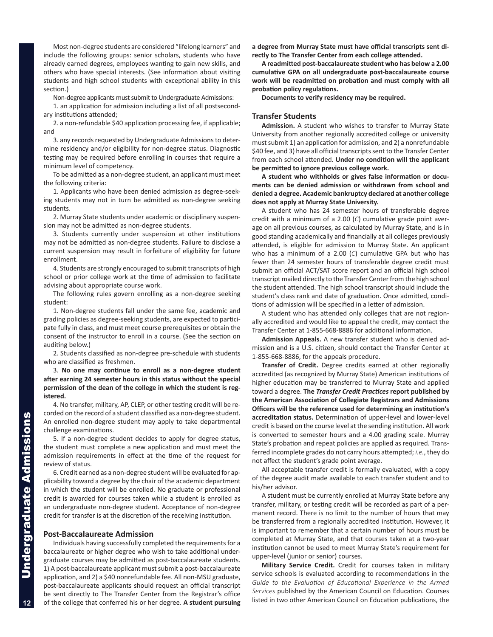<span id="page-3-0"></span>Most non-degree students are considered "lifelong learners" and include the following groups: senior scholars, students who have already earned degrees, employees wanting to gain new skills, and others who have special interests. (See information about visiting students and high school students with exceptional ability in this section.)

Non-degree applicants must submit to Undergraduate Admissions:

1. an application for admission including a list of all postsecondary institutions attended;

2. a non-refundable \$40 application processing fee, if applicable; and

3. any records requested by Undergraduate Admissions to determine residency and/or eligibility for non-degree status. Diagnostic testing may be required before enrolling in courses that require a minimum level of competency.

To be admitted as a non-degree student, an applicant must meet the following criteria:

1. Applicants who have been denied admission as degree-seeking students may not in turn be admitted as non-degree seeking students.

2. Murray State students under academic or disciplinary suspension may not be admitted as non-degree students.

3. Students currently under suspension at other institutions may not be admitted as non-degree students. Failure to disclose a current suspension may result in forfeiture of eligibility for future enrollment.

4. Students are strongly encouraged to submit transcripts of high school or prior college work at the time of admission to facilitate advising about appropriate course work.

The following rules govern enrolling as a non-degree seeking student:

1. Non-degree students fall under the same fee, academic and grading policies as degree-seeking students, are expected to participate fully in class, and must meet course prerequisites or obtain the consent of the instructor to enroll in a course. (See the section on auditing below.)

2. Students classified as non-degree pre-schedule with students who are classified as freshmen.

3. **No one may continue to enroll as a non-degree student after earning 24 semester hours in this status without the special permission of the dean of the college in which the student is registered.**

4. No transfer, military, AP, CLEP, or other testing credit will be recorded on the record of a student classified as a non-degree student. An enrolled non-degree student may apply to take departmental challenge examinations.

5. If a non-degree student decides to apply for degree status, the student must complete a new application and must meet the admission requirements in effect at the time of the request for review of status.

6. Credit earned as a non-degree student will be evaluated for applicability toward a degree by the chair of the academic department in which the student will be enrolled. No graduate or professional credit is awarded for courses taken while a student is enrolled as an undergraduate non-degree student. Acceptance of non-degree credit for transfer is at the discretion of the receiving institution.

#### **Post-Baccalaureate Admission**

Individuals having successfully completed the requirements for a baccalaureate or higher degree who wish to take additional undergraduate courses may be admitted as post-baccalaureate students. 1) A post-baccalaureate applicant must submit a post-baccalaureate application, and 2) a \$40 nonrefundable fee. All non-MSU graduate, post-baccalaureate applicants should request an official transcript be sent directly to The Transfer Center from the Registrar's office of the college that conferred his or her degree. **A student pursuing**  **a degree from Murray State must have official transcripts sent directly to The Transfer Center from each college attended.** 

**A readmitted post-baccalaureate student who has below a 2.00 cumulative GPA on all undergraduate post-baccalaureate course work will be readmitted on probation and must comply with all probation policy regulations.**

**Documents to verify residency may be required.**

#### **Transfer Students**

**Admission.** A student who wishes to transfer to Murray State University from another regionally accredited college or university must submit 1) an application for admission, and 2) a nonrefundable \$40 fee, and 3) have all official transcripts sent to the Transfer Center from each school attended. **Under no condition will the applicant be permitted to ignore previous college work.**

**A student who withholds or gives false information or documents can be denied admission or withdrawn from school and denied a degree. Academic bankruptcy declared at another college does not apply at Murray State University.**

A student who has 24 semester hours of transferable degree credit with a minimum of a 2.00 (*C*) cumulative grade point average on all previous courses, as calculated by Murray State, and is in good standing academically and financially at all colleges previously attended, is eligible for admission to Murray State. An applicant who has a minimum of a 2.00 (*C*) cumulative GPA but who has fewer than 24 semester hours of transferable degree credit must submit an official ACT/SAT score report and an official high school transcript mailed directly to the Transfer Center from the high school the student attended. The high school transcript should include the student's class rank and date of graduation. Once admitted, conditions of admission will be specified in a letter of admission.

A student who has attended only colleges that are not regionally accredited and would like to appeal the credit, may contact the Transfer Center at 1-855-668-8886 for additional information.

**Admission Appeals.** A new transfer student who is denied admission and is a U.S. citizen, should contact the Transfer Center at 1-855-668-8886, for the appeals procedure.

**Transfer of Credit.** Degree credits earned at other regionally accredited (as recognized by Murray State) American institutions of higher education may be transferred to Murray State and applied toward a degree. **The** *Transfer Credit Practices* **report published by the American Association of Collegiate Registrars and Admissions Officers will be the reference used for determining an institution's accreditation status.** Determination of upper-level and lower-level credit is based on the course level at the sending institution. All work is converted to semester hours and a 4.00 grading scale. Murray State's probation and repeat policies are applied as required. Transferred incomplete grades do not carry hours attempted; *i.e.*, they do not affect the student's grade point average.

All acceptable transfer credit is formally evaluated, with a copy of the degree audit made available to each transfer student and to his/her advisor.

A student must be currently enrolled at Murray State before any transfer, military, or testing credit will be recorded as part of a permanent record. There is no limit to the number of hours that may be transferred from a regionally accredited institution. However, it is important to remember that a certain number of hours must be completed at Murray State, and that courses taken at a two-year institution cannot be used to meet Murray State's requirement for upper-level (junior or senior) courses.

**Military Service Credit.** Credit for courses taken in military service schools is evaluated according to recommendations in the Guide to the Evaluation of Educational Experience in the Armed *Services* published by the American Council on Education. Courses listed in two other American Council on Education publications, the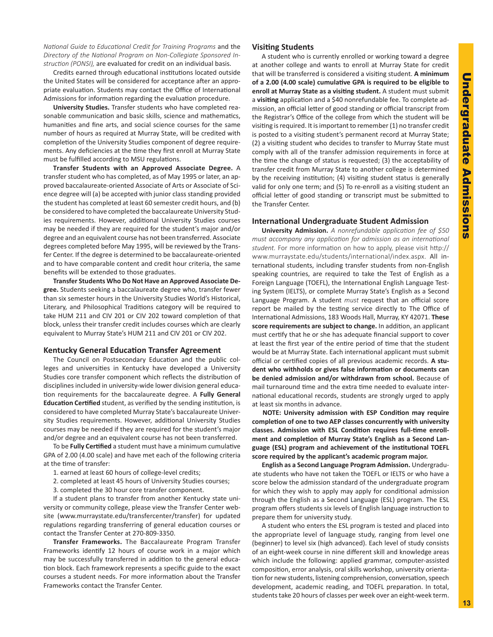<span id="page-4-0"></span>*National Guide to Educational Credit for Training Programs* and the *Directory of the National Program on Non-Collegiate Sponsored Instruction (PONSI),* are evaluated for credit on an individual basis.

Credits earned through educational institutions located outside the United States will be considered for acceptance after an appropriate evaluation. Students may contact the Office of International Admissions for information regarding the evaluation procedure.

**University Studies.** Transfer students who have completed reasonable communication and basic skills, science and mathematics, humanities and fine arts, and social science courses for the same number of hours as required at Murray State, will be credited with completion of the University Studies component of degree requirements. Any deficiencies at the time they first enroll at Murray State must be fulfilled according to MSU regulations.

**Transfer Students with an Approved Associate Degree.** A transfer student who has completed, as of May 1995 or later, an approved baccalaureate-oriented Associate of Arts or Associate of Science degree will (a) be accepted with junior class standing provided the student has completed at least 60 semester credit hours, and (b) be considered to have completed the baccalaureate University Studies requirements. However, additional University Studies courses may be needed if they are required for the student's major and/or degree and an equivalent course has not been transferred. Associate degrees completed before May 1995, will be reviewed by the Transfer Center. If the degree is determined to be baccalaureate-oriented and to have comparable content and credit hour criteria, the same benefits will be extended to those graduates.

**Transfer Students Who Do Not Have an Approved Associate Degree.** Students seeking a baccalaureate degree who, transfer fewer than six semester hours in the University Studies World's Historical, Literary, and Philosophical Traditions category will be required to take HUM 211 and CIV 201 or CIV 202 toward completion of that block, unless their transfer credit includes courses which are clearly equivalent to Murray State's HUM 211 and CIV 201 or CIV 202.

#### **Kentucky General Education Transfer Agreement**

The Council on Postsecondary Education and the public colleges and universities in Kentucky have developed a University Studies core transfer component which reflects the distribution of disciplines included in university-wide lower division general education requirements for the baccalaureate degree. A **Fully General Education Certified** student, as verified by the sending institution, is considered to have completed Murray State's baccalaureate University Studies requirements. However, additional University Studies courses may be needed if they are required for the student's major and/or degree and an equivalent course has not been transferred.

To be **Fully Certified** a student must have a minimum cumulative GPA of 2.00 (4.00 scale) and have met each of the following criteria at the time of transfer:

- 1. earned at least 60 hours of college-level credits;
- 2. completed at least 45 hours of University Studies courses;
- 3. completed the 30 hour core transfer component.

If a student plans to transfer from another Kentucky state university or community college, please view the Transfer Center website (www.murraystate.edu/transfercenter/transfer) for updated regulations regarding transferring of general education courses or contact the Transfer Center at 270-809-3350.

**Transfer Frameworks.** The Baccalaureate Program Transfer Frameworks identify 12 hours of course work in a major which may be successfully transferred in addition to the general education block. Each framework represents a specific guide to the exact courses a student needs. For more information about the Transfer Frameworks contact the Transfer Center.

## **Visiting Students**

A student who is currently enrolled or working toward a degree at another college and wants to enroll at Murray State for credit that will be transferred is considered a visiting student. **A minimum of a 2.00 (4.00 scale) cumulative GPA is required to be eligible to enroll at Murray State as a visiting student.** A student must submit a **visiting** application and a \$40 nonrefundable fee. To complete admission, an official letter of good standing or official transcript from the Registrar's Office of the college from which the student will be visiting is required. It is important to remember (1) no transfer credit is posted to a visiting student's permanent record at Murray State; (2) a visiting student who decides to transfer to Murray State must comply with all of the transfer admission requirements in force at the time the change of status is requested; (3) the acceptability of transfer credit from Murray State to another college is determined by the receiving institution; (4) visiting student status is generally valid for only one term; and (5) To re-enroll as a visiting student an official letter of good standing or transcript must be submitted to the Transfer Center.

#### **International Undergraduate Student Admission**

**University Admission.** *A nonrefundable application fee of \$50 must accompany any application for admission as an international student.* For more information on how to apply, please visit http:// www.murraystate.edu/students/international/index.aspx. All international students, including transfer students from non-English speaking countries, are required to take the Test of English as a Foreign Language (TOEFL), the International English Language Testing System (IELTS), or complete Murray State's English as a Second Language Program. A student *must* request that an official score report be mailed by the testing service directly to The Office of International Admissions, 183 Woods Hall, Murray, KY 42071. **These score requirements are subject to change.** In addition, an applicant must certify that he or she has adequate financial support to cover at least the first year of the entire period of time that the student would be at Murray State. Each international applicant must submit official or certified copies of all previous academic records. **A student who withholds or gives false information or documents can be denied admission and/or withdrawn from school.** Because of mail turnaround time and the extra time needed to evaluate international educational records, students are strongly urged to apply at least six months in advance.

**NOTE: University admission with ESP Condition may require completion of one to two AEP classes concurrently with university classes. Admission with ESL Condition requires full-time enrollment and completion of Murray State's English as a Second Language (ESL) program and achievement of the institutional TOEFL score required by the applicant's academic program major.** 

**English as a Second Language Program Admission.** Undergraduate students who have not taken the TOEFL or IELTS or who have a score below the admission standard of the undergraduate program for which they wish to apply may apply for conditional admission through the English as a Second Language (ESL) program. The ESL program offers students six levels of English language instruction to prepare them for university study.

A student who enters the ESL program is tested and placed into the appropriate level of language study, ranging from level one (beginner) to level six (high advanced). Each level of study consists of an eight-week course in nine different skill and knowledge areas which include the following: applied grammar, computer-assisted composition, error analysis, oral skills workshop, university orientation for new students, listening comprehension, conversation, speech development, academic reading, and TOEFL preparation. In total, students take 20 hours of classes per week over an eight-week term.